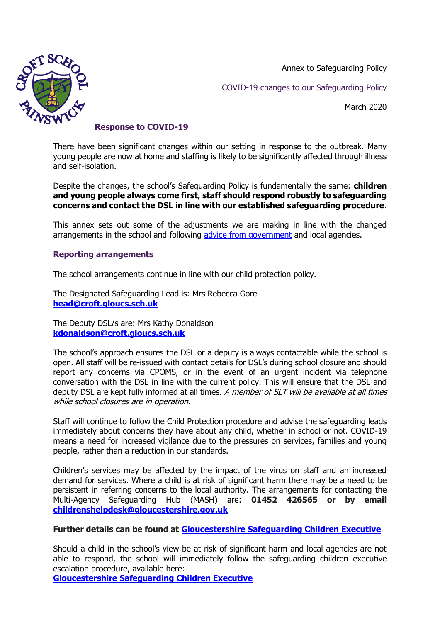Annex to Safeguarding Policy



COVID-19 changes to our Safeguarding Policy

March 2020

## **Response to COVID-19**

There have been significant changes within our setting in response to the outbreak. Many young people are now at home and staffing is likely to be significantly affected through illness and self-isolation.

Despite the changes, the school's Safeguarding Policy is fundamentally the same: **children and young people always come first, staff should respond robustly to safeguarding concerns and contact the DSL in line with our established safeguarding procedure**.

This annex sets out some of the adjustments we are making in line with the changed arrangements in the school and following [advice from government](https://www.gov.uk/government/publications/covid-19-safeguarding-in-schools-colleges-and-other-providers/coronavirus-covid-19-safeguarding-in-schools-colleges-and-other-providers) and local agencies.

## **Reporting arrangements**

The school arrangements continue in line with our child protection policy.

The Designated Safeguarding Lead is: Mrs Rebecca Gore **[head@croft.gloucs.sch.uk](mailto:head@croft.gloucs.sch.uk)**

The Deputy DSL/s are: Mrs Kathy Donaldson **[kdonaldson@croft.gloucs.sch.uk](mailto:kdonaldson@croft.gloucs.sch.uk)**

The school's approach ensures the DSL or a deputy is always contactable while the school is open. All staff will be re-issued with contact details for DSL's during school closure and should report any concerns via CPOMS, or in the event of an urgent incident via telephone conversation with the DSL in line with the current policy. This will ensure that the DSL and deputy DSL are kept fully informed at all times. A member of SLT will be available at all times while school closures are in operation.

Staff will continue to follow the Child Protection procedure and advise the safeguarding leads immediately about concerns they have about any child, whether in school or not. COVID-19 means a need for increased vigilance due to the pressures on services, families and young people, rather than a reduction in our standards.

Children's services may be affected by the impact of the virus on staff and an increased demand for services. Where a child is at risk of significant harm there may be a need to be persistent in referring concerns to the local authority. The arrangements for contacting the Multi-Agency Safeguarding Hub (MASH) are: **01452 426565 or by email [childrenshelpdesk@gloucestershire.gov.uk](mailto:childrenshelpdesk@gloucestershire.gov.uk)**

## **Further details can be found at [Gloucestershire Safeguarding Children Executive](https://www.gscb.org.uk/i-work-with-children-young-people-and-parents/guidance-for-working-with-children-and-young-people/)**

Should a child in the school's view be at risk of significant harm and local agencies are not able to respond, the school will immediately follow the safeguarding children executive escalation procedure, available here:

**[Gloucestershire Safeguarding Children Executive](https://www.gscb.org.uk/i-work-with-children-young-people-and-parents/guidance-for-working-with-children-and-young-people/)**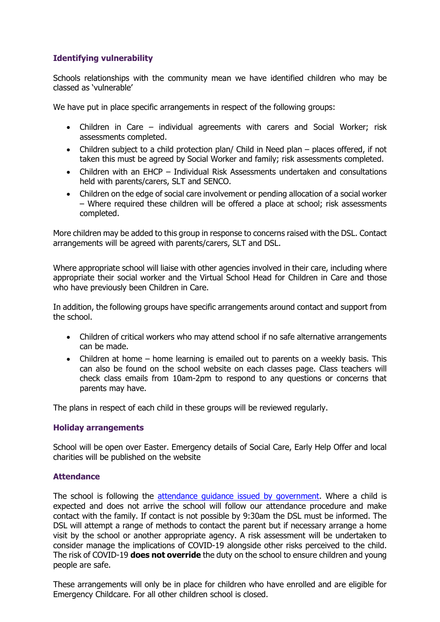# **Identifying vulnerability**

Schools relationships with the community mean we have identified children who may be classed as 'vulnerable'

We have put in place specific arrangements in respect of the following groups:

- Children in Care individual agreements with carers and Social Worker; risk assessments completed.
- Children subject to a child protection plan/ Child in Need plan places offered, if not taken this must be agreed by Social Worker and family; risk assessments completed.
- Children with an EHCP Individual Risk Assessments undertaken and consultations held with parents/carers, SLT and SENCO.
- Children on the edge of social care involvement or pending allocation of a social worker – Where required these children will be offered a place at school; risk assessments completed.

More children may be added to this group in response to concerns raised with the DSL. Contact arrangements will be agreed with parents/carers, SLT and DSL.

Where appropriate school will liaise with other agencies involved in their care, including where appropriate their social worker and the Virtual School Head for Children in Care and those who have previously been Children in Care.

In addition, the following groups have specific arrangements around contact and support from the school.

- Children of critical workers who may attend school if no safe alternative arrangements can be made.
- Children at home home learning is emailed out to parents on a weekly basis. This can also be found on the school website on each classes page. Class teachers will check class emails from 10am-2pm to respond to any questions or concerns that parents may have.

The plans in respect of each child in these groups will be reviewed regularly.

### **Holiday arrangements**

School will be open over Easter. Emergency details of Social Care, Early Help Offer and local charities will be published on the website

### **Attendance**

The school is following the [attendance guidance issued by government.](https://www.gov.uk/government/publications/coronavirus-covid-19-attendance-recording-for-educational-settings) Where a child is expected and does not arrive the school will follow our attendance procedure and make contact with the family. If contact is not possible by 9:30am the DSL must be informed. The DSL will attempt a range of methods to contact the parent but if necessary arrange a home visit by the school or another appropriate agency. A risk assessment will be undertaken to consider manage the implications of COVID-19 alongside other risks perceived to the child. The risk of COVID-19 **does not override** the duty on the school to ensure children and young people are safe.

These arrangements will only be in place for children who have enrolled and are eligible for Emergency Childcare. For all other children school is closed.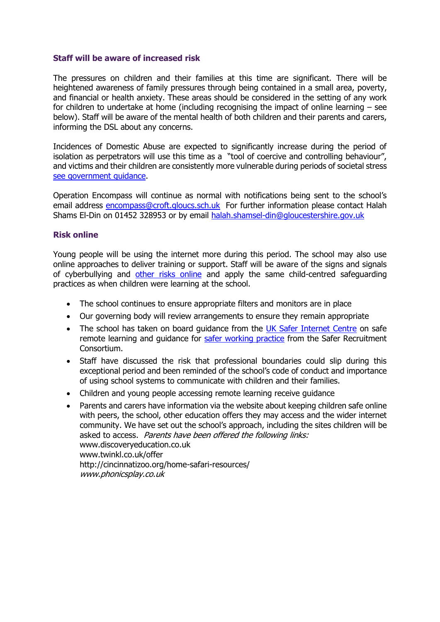### **Staff will be aware of increased risk**

The pressures on children and their families at this time are significant. There will be heightened awareness of family pressures through being contained in a small area, poverty, and financial or health anxiety. These areas should be considered in the setting of any work for children to undertake at home (including recognising the impact of online learning – see below). Staff will be aware of the mental health of both children and their parents and carers, informing the DSL about any concerns.

Incidences of Domestic Abuse are expected to significantly increase during the period of isolation as perpetrators will use this time as a "tool of coercive and controlling behaviour", and victims and their children are consistently more vulnerable during periods of societal stress [see government guidance.](https://www.gov.uk/guidance/domestic-abuse-how-to-get-help?utm_source=9edb434c-8bd7-4ca1-b369-97fee02097fe&utm_medium=email&utm_campaign=govuk-notifications&utm_content=immediate)

Operation Encompass will continue as normal with notifications being sent to the school's email address [encompass@croft.gloucs.sch.uk](mailto:encompass@croft.gloucs.sch.uk) For further information please contact Halah Shams El-Din on 01452 328953 or by email [halah.shamsel-din@gloucestershire.gov.uk](mailto:halah.shamsel-din@gloucestershire.gov.uk)

### **Risk online**

Young people will be using the internet more during this period. The school may also use online approaches to deliver training or support. Staff will be aware of the signs and signals of cyberbullying and [other risks online](https://www.nspcc.org.uk/keeping-children-safe/online-safety/) and apply the same child-centred safeguarding practices as when children were learning at the school.

- The school continues to ensure appropriate filters and monitors are in place
- Our governing body will review arrangements to ensure they remain appropriate
- The school has taken on board quidance from the [UK Safer Internet Centre](https://www.saferinternet.org.uk/) on safe remote learning and guidance for [safer working practice](https://www.saferrecruitmentconsortium.org/GSWP%20Sept%202019.pdf) from the Safer Recruitment Consortium.
- Staff have discussed the risk that professional boundaries could slip during this exceptional period and been reminded of the school's code of conduct and importance of using school systems to communicate with children and their families.
- Children and young people accessing remote learning receive quidance
- Parents and carers have information via the website about keeping children safe online with peers, the school, other education offers they may access and the wider internet community. We have set out the school's approach, including the sites children will be asked to access. Parents have been offered the following links: www.discoveryeducation.co.uk www.twinkl.co.uk/offer http://cincinnatizoo.org/home-safari-resources/ www.phonicsplay.co.uk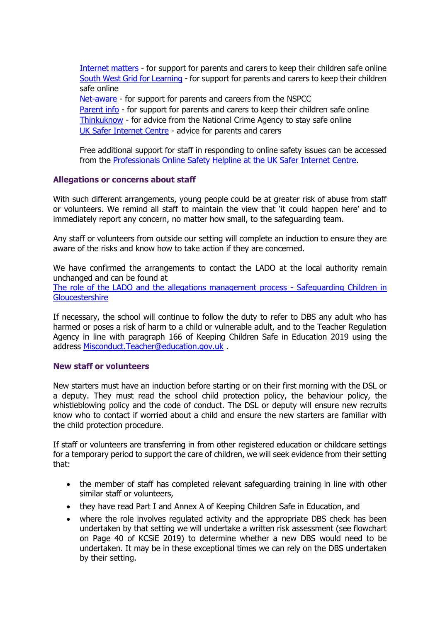[Internet matters](https://www.internetmatters.org/?gclid=EAIaIQobChMIktuA5LWK2wIVRYXVCh2afg2aEAAYASAAEgIJ5vD_BwE) - for support for parents and carers to keep their children safe online [South West Grid for Learning](https://swgfl.org.uk/) - for support for parents and carers to keep their children safe online

[Net-aware](https://www.net-aware.org.uk/) - for support for parents and careers from the NSPCC [Parent info](https://parentinfo.org/favicon.ico) - for support for parents and carers to keep their children safe online [Thinkuknow](https://www.thinkuknow.co.uk/) - for advice from the National Crime Agency to stay safe online [UK Safer Internet Centre](https://www.saferinternet.org.uk/) - advice for parents and carers

Free additional support for staff in responding to online safety issues can be accessed from the [Professionals Online Safety Helpline at the UK Safer Internet Centre.](https://www.saferinternet.org.uk/helpline/professionals-online-safety-helpline)

### **Allegations or concerns about staff**

With such different arrangements, young people could be at greater risk of abuse from staff or volunteers. We remind all staff to maintain the view that 'it could happen here' and to immediately report any concern, no matter how small, to the safeguarding team.

Any staff or volunteers from outside our setting will complete an induction to ensure they are aware of the risks and know how to take action if they are concerned.

We have confirmed the arrangements to contact the LADO at the local authority remain unchanged and can be found at

[The role of the LADO and the allegations management process -](https://www.gscb.org.uk/i-work-with-children-young-people-and-parents/the-role-of-the-lado-and-the-allegations-management-process/) Safeguarding Children in **[Gloucestershire](https://www.gscb.org.uk/i-work-with-children-young-people-and-parents/the-role-of-the-lado-and-the-allegations-management-process/)** 

If necessary, the school will continue to follow the duty to refer to DBS any adult who has harmed or poses a risk of harm to a child or vulnerable adult, and to the Teacher Regulation Agency in line with paragraph 166 of Keeping Children Safe in Education 2019 using the address [Misconduct.Teacher@education.gov.uk](mailto:Misconduct.Teacher@education.gov.uk) .

#### **New staff or volunteers**

New starters must have an induction before starting or on their first morning with the DSL or a deputy. They must read the school child protection policy, the behaviour policy, the whistleblowing policy and the code of conduct. The DSL or deputy will ensure new recruits know who to contact if worried about a child and ensure the new starters are familiar with the child protection procedure.

If staff or volunteers are transferring in from other registered education or childcare settings for a temporary period to support the care of children, we will seek evidence from their setting that:

- the member of staff has completed relevant safeguarding training in line with other similar staff or volunteers,
- they have read Part I and Annex A of Keeping Children Safe in Education, and
- where the role involves regulated activity and the appropriate DBS check has been undertaken by that setting we will undertake a written risk assessment (see flowchart on Page 40 of KCSiE 2019) to determine whether a new DBS would need to be undertaken. It may be in these exceptional times we can rely on the DBS undertaken by their setting.